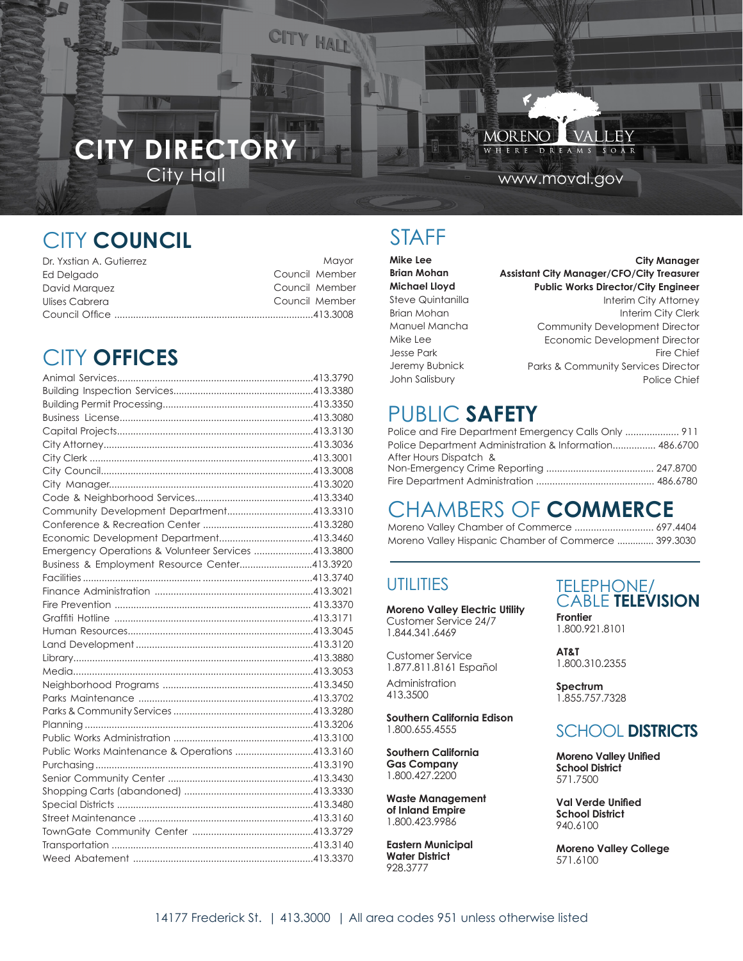# City Hall www.moval.gov **CITY DIRECTORY**

CITY HALL

D R E

ĦΥ

**MORENO** 

W H

# CITY&&**III**

| UMWLDMIDDU             | Mayor□         |  |
|------------------------|----------------|--|
| <b>IGOJDGR</b>         | DRUURP         |  |
| <b>(ODDFDDWD&amp;U</b> | Council Member |  |
| David Marquez          | Council Member |  |
| OLVV&DEUUDO            | Council Member |  |
|                        |                |  |

# CITY **OFFICES**

| Community Development Department413.3310           |  |
|----------------------------------------------------|--|
|                                                    |  |
|                                                    |  |
| Emergency Operations & Volunteer Services 413.3800 |  |
| Business & Employment Resource Center413.3920      |  |
|                                                    |  |
|                                                    |  |
|                                                    |  |
|                                                    |  |
|                                                    |  |
|                                                    |  |
|                                                    |  |
|                                                    |  |
|                                                    |  |
|                                                    |  |
|                                                    |  |
|                                                    |  |
|                                                    |  |
| Public Works Maintenance & Operations 413.3160     |  |
|                                                    |  |
|                                                    |  |
|                                                    |  |
|                                                    |  |
|                                                    |  |
|                                                    |  |
|                                                    |  |
|                                                    |  |
|                                                    |  |

## STAFF

| Mike Lee              | <b>City Manager</b>                              |
|-----------------------|--------------------------------------------------|
| <b>Brian Mohan</b>    | <b>Assistant City Manager/CFO/City Treasurer</b> |
| <b>Aldo Schindler</b> | <b>Assistant City Manager - Development</b>      |
| <b>Michael Lloyd</b>  | <b>Public Works Director/City Engineer</b>       |
| Steve uintanilla      | Interim City Attorney                            |
| <b>Brian Mohan</b>    | Interim City Clerk                               |
| <b>Manuel Mancha</b>  | Community Development Director                   |
| Mike Lee              | Economic Development Director                    |
| Jesse Park            | Fire Chief                                       |
| Jeremy Bubnick        | <b>Parks &amp; Community Services Director</b>   |
| John Salisbury        | Police Chief                                     |

## PUBLIC **SAFETY**

| Police and Fire Department Emergency Calls Only  911    |  |
|---------------------------------------------------------|--|
| Police Department Administration & Information 486.6700 |  |
| After Hours Dispatch &                                  |  |
|                                                         |  |
|                                                         |  |

## CHAMBERS OF **COMMERCE**

| Moreno Valley Chamber of Commerce  697.4404          |  |
|------------------------------------------------------|--|
| Moreno Valley Hispanic Chamber of Commerce  399.3030 |  |

### **UTILITIES**

**Moreno Valley Electric Utility** Customer Service 24/7 1.844.341.6469

Customer Service 1.877.811.8161 Español Administration 413.3500

**Southern California Edison** 1.800.655.4555

**Southern California Gas Company** 1.800.427.2200

**Waste Management of Inland Empire** 1.800.423.9986

**Eastern Municipal Water District** 928.3777

TELEPHONE/ CABLE **TELEVISION Frontier**

1.800.921.8101

**AT&T** 1.800.310.2355

**Spectrum** 1.855.757.7328

### SCHOOL **DISTRICTS**

**Moreno Valley Unified School District** 571.7500

**Val Verde Unified School District** 940.6100

**Moreno Valley College** 571.6100